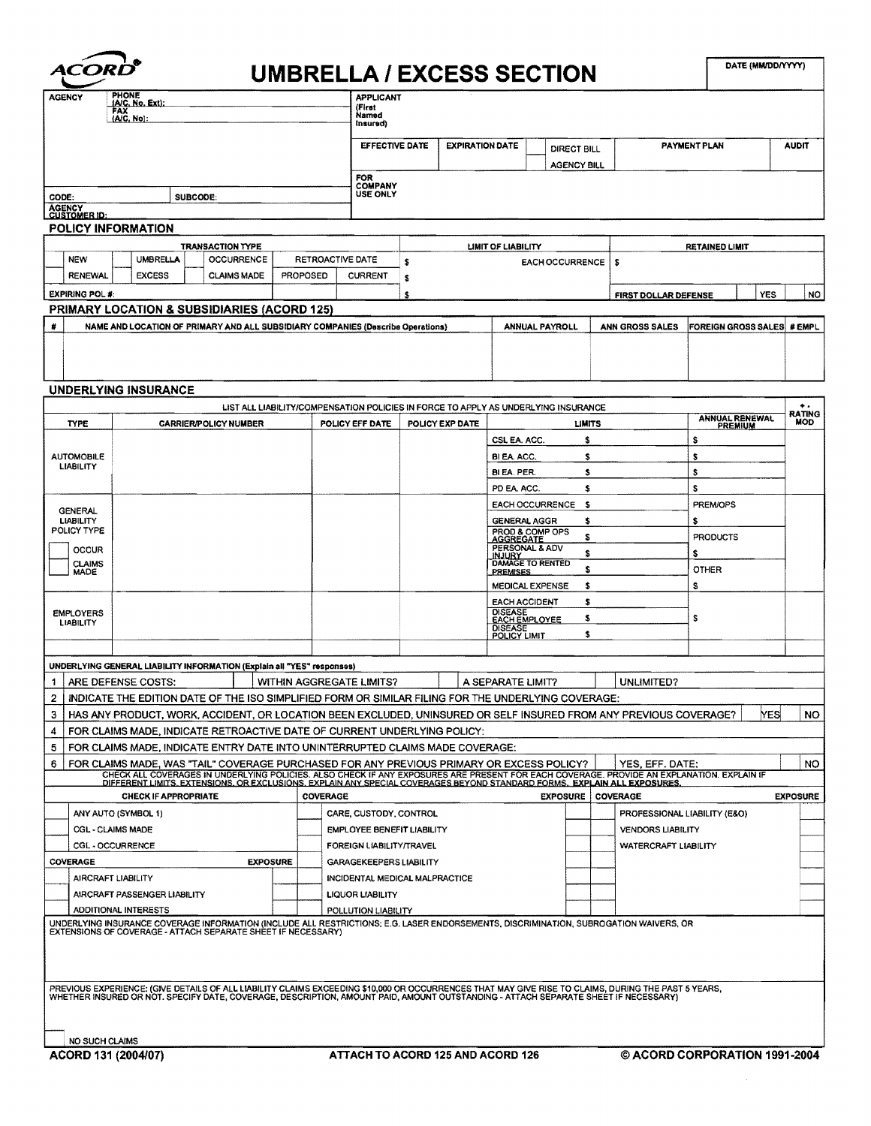| PHONE<br><b>AGENCY</b><br>(A/C. No. Exi).<br>FAX<br>(A/C, No):              |                                                                                                                                                                                                                                      |                              |                                | <b>APPLICANT</b><br>(Firet<br>Named<br>(nsured)             |                                   |           |                                        |                                        |                                                                                    |                             |                              |                                   |                  |  |
|-----------------------------------------------------------------------------|--------------------------------------------------------------------------------------------------------------------------------------------------------------------------------------------------------------------------------------|------------------------------|--------------------------------|-------------------------------------------------------------|-----------------------------------|-----------|----------------------------------------|----------------------------------------|------------------------------------------------------------------------------------|-----------------------------|------------------------------|-----------------------------------|------------------|--|
|                                                                             |                                                                                                                                                                                                                                      |                              |                                |                                                             | <b>EFFECTIVE DATE</b>             |           | <b>EXPIRATION DATE</b>                 |                                        | DIRECT BILL<br><b>AGENCY BILL</b>                                                  |                             |                              | PAYMENT PLAN                      | <b>AUDIT</b>     |  |
|                                                                             |                                                                                                                                                                                                                                      |                              |                                | FOR<br><b>COMPANY</b>                                       |                                   |           |                                        |                                        |                                                                                    |                             |                              |                                   |                  |  |
| CODE:<br><b>AGENCY</b>                                                      | SUBCODE:                                                                                                                                                                                                                             |                              |                                |                                                             | <b>USE ONLY</b>                   |           |                                        |                                        |                                                                                    |                             |                              |                                   |                  |  |
| <b>CUSTOMER ID:</b>                                                         | POLICY INFORMATION                                                                                                                                                                                                                   |                              |                                |                                                             |                                   |           |                                        |                                        |                                                                                    |                             |                              |                                   |                  |  |
|                                                                             |                                                                                                                                                                                                                                      | <b>TRANSACTION TYPE</b>      |                                |                                                             |                                   |           |                                        | LIMIT OF LIABILITY                     |                                                                                    |                             |                              | <b>RETAINED LIMIT</b>             |                  |  |
| <b>NEW</b><br>UMBRELLA<br>OCCURRENCE<br>RETROACTIVE DATE<br><b>PROPOSED</b> |                                                                                                                                                                                                                                      |                              |                                |                                                             | \$<br><b>EACH OCCURRENCE</b><br>s |           |                                        |                                        |                                                                                    |                             |                              |                                   |                  |  |
| <b>RENEWAL</b><br><b>EXPIRING POL #:</b>                                    | <b>EXCESS</b>                                                                                                                                                                                                                        | <b>CLAIMS MADE</b>           |                                |                                                             | <b>CURRENT</b>                    | \$<br>\$. |                                        |                                        |                                                                                    |                             |                              | YES                               | NO.              |  |
|                                                                             | PRIMARY LOCATION & SUBSIDIARIES (ACORD 125)                                                                                                                                                                                          |                              |                                |                                                             |                                   |           |                                        |                                        |                                                                                    | <b>FIRST DOLLAR DEFENSE</b> |                              |                                   |                  |  |
|                                                                             | NAME AND LOCATION OF PRIMARY AND ALL SUBSIDIARY COMPANIES (Describe Operations)                                                                                                                                                      |                              |                                |                                                             |                                   |           |                                        |                                        | <b>ANNUAL PAYROLL</b>                                                              | ANN GROSS SALES             |                              | <b>FOREIGN GROSS SALES # EMPL</b> |                  |  |
|                                                                             |                                                                                                                                                                                                                                      |                              |                                |                                                             |                                   |           |                                        |                                        |                                                                                    |                             |                              |                                   |                  |  |
|                                                                             |                                                                                                                                                                                                                                      |                              |                                |                                                             |                                   |           |                                        |                                        |                                                                                    |                             |                              |                                   |                  |  |
|                                                                             | <b>UNDERLYING INSURANCE</b>                                                                                                                                                                                                          |                              |                                |                                                             |                                   |           |                                        |                                        |                                                                                    |                             |                              |                                   |                  |  |
|                                                                             |                                                                                                                                                                                                                                      |                              |                                |                                                             |                                   |           |                                        |                                        | LIST ALL LIABILITY/COMPENSATION POLICIES IN FORCE TO APPLY AS UNDERLYING INSURANCE |                             |                              |                                   | <b>RATING</b>    |  |
| <b>TYPE</b>                                                                 |                                                                                                                                                                                                                                      | <b>CARRIER/POLICY NUMBER</b> |                                |                                                             | POLICY EFF DATE                   |           | POLICY EXP DATE                        |                                        | <b>LIMITS</b>                                                                      |                             |                              | ANNUAL RENEWAL                    | <b>MOD</b>       |  |
|                                                                             |                                                                                                                                                                                                                                      |                              |                                |                                                             |                                   |           |                                        | CSL EA, ACC.                           | s                                                                                  |                             |                              | \$                                |                  |  |
| <b>AUTOMOBILE</b><br><b>LIABILITY</b>                                       |                                                                                                                                                                                                                                      |                              |                                |                                                             |                                   |           |                                        | BI EA. ACC.<br>BI EA, PER.             | s<br>s                                                                             |                             |                              | \$<br>s                           |                  |  |
|                                                                             |                                                                                                                                                                                                                                      |                              |                                |                                                             |                                   |           |                                        | PD EA ACC.                             | s                                                                                  |                             |                              | s                                 |                  |  |
| <b>GENERAL</b>                                                              |                                                                                                                                                                                                                                      |                              |                                |                                                             |                                   |           |                                        |                                        | <b>EACH OCCURRENCE</b><br>s                                                        |                             |                              | PREM/OPS                          |                  |  |
| <b>LIABILITY</b><br>POLICY TYPE                                             |                                                                                                                                                                                                                                      |                              |                                |                                                             |                                   |           |                                        | <b>GENERAL AGGR</b><br>PROD & COMP OPS | s                                                                                  |                             |                              | s                                 |                  |  |
| <b>OCCUR</b>                                                                |                                                                                                                                                                                                                                      |                              |                                |                                                             |                                   |           |                                        | <b>AGGREGATE</b><br>PERSONAL & ADV     | s<br>s                                                                             |                             |                              | <b>PRODUCTS</b>                   |                  |  |
| <b>CLAIMS</b><br><b>MADE</b>                                                |                                                                                                                                                                                                                                      |                              |                                |                                                             |                                   |           |                                        | INJURY<br><b>PREMISES</b>              | DAMAGE TO RENTED<br>s                                                              |                             |                              | s<br><b>OTHER</b>                 |                  |  |
|                                                                             |                                                                                                                                                                                                                                      |                              |                                |                                                             |                                   |           |                                        | <b>MEDICAL EXPENSE</b>                 | \$                                                                                 |                             |                              | \$                                |                  |  |
| <b>EMPLOYERS</b>                                                            |                                                                                                                                                                                                                                      |                              |                                |                                                             |                                   |           |                                        | <b>EACH ACCIDENT</b><br><b>DISEASE</b> | s                                                                                  |                             |                              |                                   |                  |  |
| <b>LIABILITY</b>                                                            |                                                                                                                                                                                                                                      |                              |                                |                                                             |                                   |           | <b>EACH EMPLOYEE</b><br><b>DISEASE</b> | \$<br>\$                               |                                                                                    |                             | s                            |                                   |                  |  |
|                                                                             |                                                                                                                                                                                                                                      |                              |                                |                                                             |                                   |           |                                        | POLICY LIMIT                           |                                                                                    |                             |                              |                                   |                  |  |
|                                                                             | UNDERLYING GENERAL LIABILITY INFORMATION (Explain all "YES" responses)                                                                                                                                                               |                              |                                |                                                             |                                   |           |                                        |                                        |                                                                                    |                             |                              |                                   |                  |  |
| 1.                                                                          | ARE DEFENSE COSTS:                                                                                                                                                                                                                   |                              |                                |                                                             | WITHIN AGGREGATE LIMITS?          |           |                                        | A SEPARATE LIMIT?                      |                                                                                    | UNLIMITED?                  |                              |                                   |                  |  |
| 2                                                                           | INDICATE THE EDITION DATE OF THE ISO SIMPLIFIED FORM OR SIMILAR FILING FOR THE UNDERLYING COVERAGE:                                                                                                                                  |                              |                                |                                                             |                                   |           |                                        |                                        |                                                                                    |                             |                              |                                   |                  |  |
| 3<br>4                                                                      | HAS ANY PRODUCT, WORK, ACCIDENT, OR LOCATION BEEN EXCLUDED, UNINSURED OR SELF INSURED FROM ANY PREVIOUS COVERAGE?<br>FOR CLAIMS MADE, INDICATE RETROACTIVE DATE OF CURRENT UNDERLYING POLICY:                                        |                              |                                |                                                             |                                   |           |                                        |                                        |                                                                                    |                             |                              |                                   | YES<br><b>NO</b> |  |
| 5                                                                           | FOR CLAIMS MADE, INDICATE ENTRY DATE INTO UNINTERRUPTED CLAIMS MADE COVERAGE:                                                                                                                                                        |                              |                                |                                                             |                                   |           |                                        |                                        |                                                                                    |                             |                              |                                   |                  |  |
| 6                                                                           | FOR CLAIMS MADE, WAS "TAIL" COVERAGE PURCHASED FOR ANY PREVIOUS PRIMARY OR EXCESS POLICY?                                                                                                                                            |                              |                                |                                                             |                                   |           |                                        |                                        |                                                                                    |                             | YES, EFF. DATE:              |                                   | NO.              |  |
|                                                                             | CHECK ALL COVERAGES IN UNDERLYING POLICIES. ALSO CHECK IF ANY EXPOSURES ARE PRESENT FOR EACH COVERAGE. PROVIDE AN EXPLANATION. EXPLAIN IF<br>DIFFERENT LIMITS. EXTENSIONS. OR EXCLUSIONS. EXPLAIN ANY SPECIAL COVERAGES BEYOND ST    |                              |                                |                                                             |                                   |           |                                        |                                        |                                                                                    |                             |                              |                                   |                  |  |
|                                                                             | <b>CHECK IF APPROPRIATE</b>                                                                                                                                                                                                          |                              |                                | <b>COVERAGE</b>                                             |                                   |           |                                        |                                        | <b>EXPOSURE COVERAGE</b>                                                           |                             |                              |                                   | <b>EXPOSURE</b>  |  |
| ANY AUTO (SYMBOL 1)<br><b>CGL - CLAIMS MADE</b>                             |                                                                                                                                                                                                                                      |                              |                                | CARE, CUSTODY, CONTROL<br><b>EMPLOYEE BENEFIT LIABILITY</b> |                                   |           |                                        |                                        |                                                                                    | <b>VENDORS LIABILITY</b>    | PROFESSIONAL LIABILITY (E&O) |                                   |                  |  |
| CGL - OCCURRENCE                                                            |                                                                                                                                                                                                                                      |                              |                                | FOREIGN LIABILITY/TRAVEL                                    |                                   |           |                                        |                                        |                                                                                    |                             | <b>WATERCRAFT LIABILITY</b>  |                                   |                  |  |
| COVERAGE<br><b>EXPOSURE</b>                                                 |                                                                                                                                                                                                                                      |                              |                                | <b>GARAGEKEEPERS LIABILITY</b>                              |                                   |           |                                        |                                        |                                                                                    |                             |                              |                                   |                  |  |
| AIRCRAFT LIABILITY                                                          |                                                                                                                                                                                                                                      |                              | INCIDENTAL MEDICAL MALPRACTICE |                                                             |                                   |           |                                        |                                        |                                                                                    |                             |                              |                                   |                  |  |
|                                                                             | AIRCRAFT PASSENGER LIABILITY                                                                                                                                                                                                         |                              |                                |                                                             | LIQUOR LIABILITY                  |           |                                        |                                        |                                                                                    |                             |                              |                                   |                  |  |
|                                                                             | <b>ADDITIONAL INTERESTS</b><br>UNDERLYING INSURANCE COVERAGE INFORMATION (INCLUDE ALL RESTRICTIONS; E.G. LASER ENDORSEMENTS, DISCRIMINATION, SUBROGATION WAIVERS, OR<br>EXTENSIONS OF COVERAGE - ATTACH SEPARATE SHEET IF NECESSARY) |                              |                                |                                                             | POLLUTION LIABILITY               |           |                                        |                                        |                                                                                    |                             |                              |                                   |                  |  |
|                                                                             |                                                                                                                                                                                                                                      |                              |                                |                                                             |                                   |           |                                        |                                        |                                                                                    |                             |                              |                                   |                  |  |
|                                                                             |                                                                                                                                                                                                                                      |                              |                                |                                                             |                                   |           |                                        |                                        |                                                                                    |                             |                              |                                   |                  |  |
|                                                                             |                                                                                                                                                                                                                                      |                              |                                |                                                             |                                   |           |                                        |                                        |                                                                                    |                             |                              |                                   |                  |  |
|                                                                             | PREVIOUS EXPERIENCE: (GIVE DETAILS OF ALL LIABILITY CLAIMS EXCEEDING \$10,000 OR OCCURRENCES THAT MAY GIVE RISE TO CLAIMS, DURING THE PAST 5 YEARS,<br>WHETHER INSURED OR NOT. SPECIFY DATE, COVERAGE, DESCRIPTION, AMOUNT PAID, A   |                              |                                |                                                             |                                   |           |                                        |                                        |                                                                                    |                             |                              |                                   |                  |  |
|                                                                             |                                                                                                                                                                                                                                      |                              |                                |                                                             |                                   |           |                                        |                                        |                                                                                    |                             |                              |                                   |                  |  |
|                                                                             |                                                                                                                                                                                                                                      |                              |                                |                                                             |                                   |           |                                        |                                        |                                                                                    |                             |                              |                                   |                  |  |